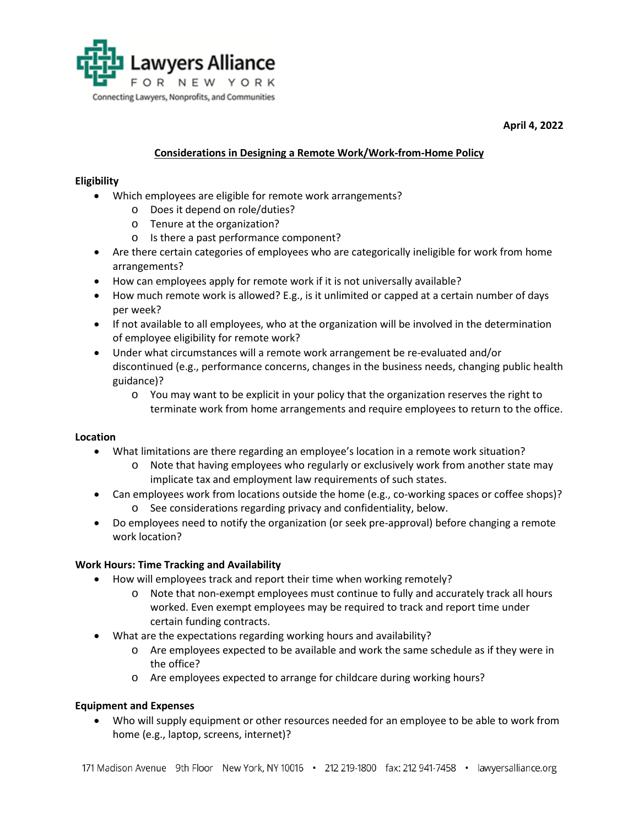

**April 4, 2022**

# **Considerations in Designing a Remote Work/Work-from-Home Policy**

## **Eligibility**

- Which employees are eligible for remote work arrangements?
	- o Does it depend on role/duties?
	- o Tenure at the organization?
	- o Is there a past performance component?
- Are there certain categories of employees who are categorically ineligible for work from home arrangements?
- How can employees apply for remote work if it is not universally available?
- How much remote work is allowed? E.g., is it unlimited or capped at a certain number of days per week?
- If not available to all employees, who at the organization will be involved in the determination of employee eligibility for remote work?
- Under what circumstances will a remote work arrangement be re-evaluated and/or discontinued (e.g., performance concerns, changes in the business needs, changing public health guidance)?
	- o You may want to be explicit in your policy that the organization reserves the right to terminate work from home arrangements and require employees to return to the office.

## **Location**

- What limitations are there regarding an employee's location in a remote work situation?
	- o Note that having employees who regularly or exclusively work from another state may implicate tax and employment law requirements of such states.
- Can employees work from locations outside the home (e.g., co-working spaces or coffee shops)?
	- o See considerations regarding privacy and confidentiality, below.
- Do employees need to notify the organization (or seek pre-approval) before changing a remote work location?

## **Work Hours: Time Tracking and Availability**

- How will employees track and report their time when working remotely?
	- o Note that non-exempt employees must continue to fully and accurately track all hours worked. Even exempt employees may be required to track and report time under certain funding contracts.
- What are the expectations regarding working hours and availability?
	- o Are employees expected to be available and work the same schedule as if they were in the office?
	- o Are employees expected to arrange for childcare during working hours?

## **Equipment and Expenses**

• Who will supply equipment or other resources needed for an employee to be able to work from home (e.g., laptop, screens, internet)?